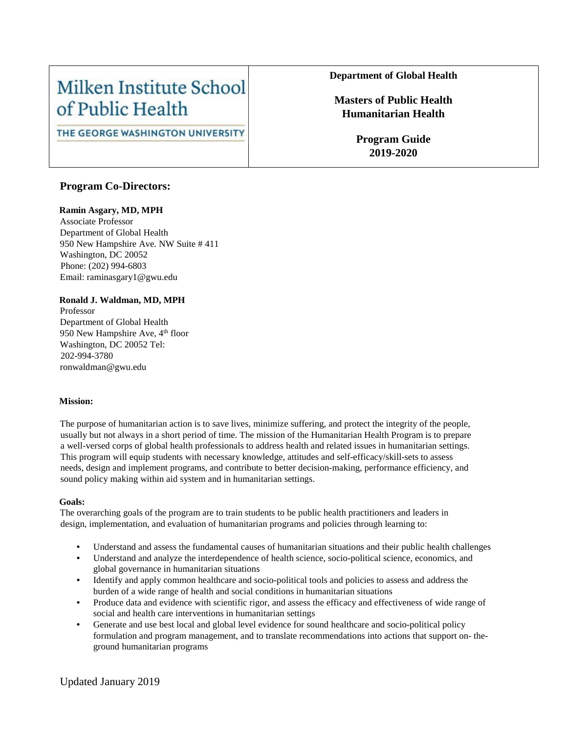# Milken Institute School of Public Health

# THE GEORGE WASHINGTON UNIVERSITY

# **Program Co-Directors:**

## **Ramin Asgary, MD, MPH**

Associate Professor Department of Global Health 950 New Hampshire Ave. NW Suite # 411 Washington, DC 20052 Phone: (202) 994-6803 Email: raminasgary1@gwu.edu

## **Ronald J. Waldman, MD, MPH**

Professor Department of Global Health 950 New Hampshire Ave,  $4<sup>th</sup>$  floor Washington, DC 20052 Tel: 202-994-3780 ronwaldman@gwu.edu

### **Mission:**

The purpose of humanitarian action is to save lives, minimize suffering, and protect the integrity of the people, usually but not always in a short period of time. The mission of the Humanitarian Health Program is to prepare a well-versed corps of global health professionals to address health and related issues in humanitarian settings. This program will equip students with necessary knowledge, attitudes and self-efficacy/skill-sets to assess needs, design and implement programs, and contribute to better decision-making, performance efficiency, and sound policy making within aid system and in humanitarian settings.

### **Goals:**

The overarching goals of the program are to train students to be public health practitioners and leaders in design, implementation, and evaluation of humanitarian programs and policies through learning to:

- Understand and assess the fundamental causes of humanitarian situations and their public health challenges
- Understand and analyze the interdependence of health science, socio-political science, economics, and global governance in humanitarian situations
- Identify and apply common healthcare and socio-political tools and policies to assess and address the burden of a wide range of health and social conditions in humanitarian situations
- Produce data and evidence with scientific rigor, and assess the efficacy and effectiveness of wide range of social and health care interventions in humanitarian settings
- Generate and use best local and global level evidence for sound healthcare and socio-political policy formulation and program management, and to translate recommendations into actions that support on- theground humanitarian programs

# **Department of Global Health**

# **Masters of Public Health Humanitarian Health**

**Program Guide 2019-2020**

Updated January 2019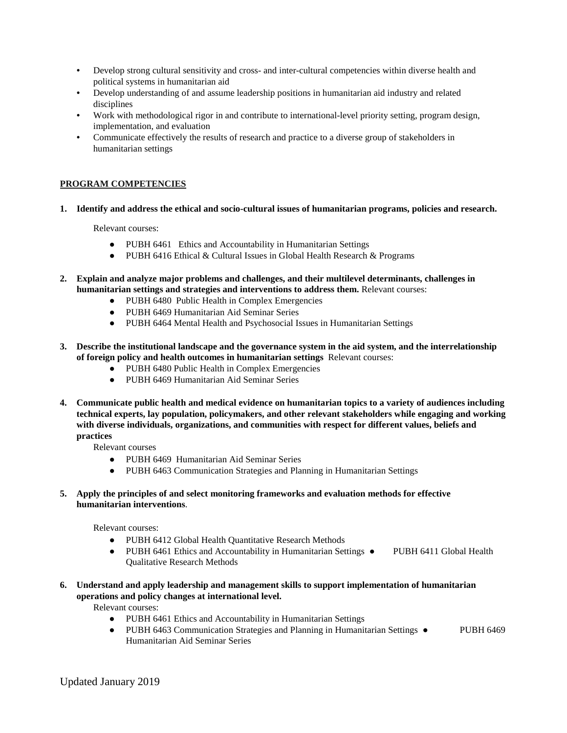- Develop strong cultural sensitivity and cross- and inter-cultural competencies within diverse health and political systems in humanitarian aid
- Develop understanding of and assume leadership positions in humanitarian aid industry and related disciplines
- Work with methodological rigor in and contribute to international-level priority setting, program design, implementation, and evaluation
- Communicate effectively the results of research and practice to a diverse group of stakeholders in humanitarian settings

## **PROGRAM COMPETENCIES**

#### **1. Identify and address the ethical and socio-cultural issues of humanitarian programs, policies and research.**

Relevant courses:

- PUBH 6461 Ethics and Accountability in Humanitarian Settings
- PUBH 6416 Ethical & Cultural Issues in Global Health Research & Programs
- **2. Explain and analyze major problems and challenges, and their multilevel determinants, challenges in humanitarian settings and strategies and interventions to address them.** Relevant courses:
	- PUBH 6480 Public Health in Complex Emergencies
	- PUBH 6469 Humanitarian Aid Seminar Series
	- PUBH 6464 Mental Health and Psychosocial Issues in Humanitarian Settings
- **3. Describe the institutional landscape and the governance system in the aid system, and the interrelationship of foreign policy and health outcomes in humanitarian settings** Relevant courses:
	- PUBH 6480 Public Health in Complex Emergencies
	- PUBH 6469 Humanitarian Aid Seminar Series
- **4. Communicate public health and medical evidence on humanitarian topics to a variety of audiences including technical experts, lay population, policymakers, and other relevant stakeholders while engaging and working with diverse individuals, organizations, and communities with respect for different values, beliefs and practices**

Relevant courses

- PUBH 6469 Humanitarian Aid Seminar Series
- PUBH 6463 Communication Strategies and Planning in Humanitarian Settings
- **5. Apply the principles of and select monitoring frameworks and evaluation methods for effective humanitarian interventions**.

Relevant courses:

- PUBH 6412 Global Health Quantitative Research Methods
- PUBH 6461 Ethics and Accountability in Humanitarian Settings PUBH 6411 Global Health Qualitative Research Methods
- **6. Understand and apply leadership and management skills to support implementation of humanitarian operations and policy changes at international level.**

Relevant courses:

- PUBH 6461 Ethics and Accountability in Humanitarian Settings
- PUBH 6463 Communication Strategies and Planning in Humanitarian Settings PUBH 6469 Humanitarian Aid Seminar Series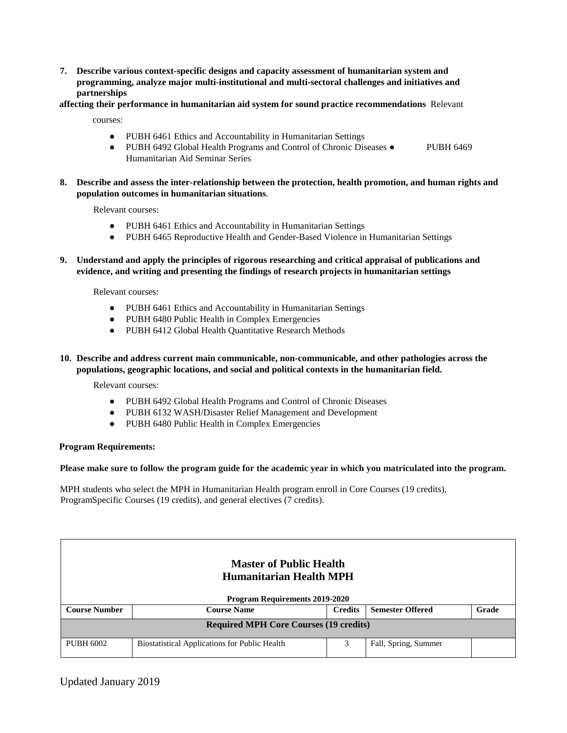**7. Describe various context-specific designs and capacity assessment of humanitarian system and programming, analyze major multi-institutional and multi-sectoral challenges and initiatives and partnerships** 

## **affecting their performance in humanitarian aid system for sound practice recommendations** Relevant

courses:

- PUBH 6461 Ethics and Accountability in Humanitarian Settings
- PUBH 6492 Global Health Programs and Control of Chronic Diseases PUBH 6469 Humanitarian Aid Seminar Series
- **8. Describe and assess the inter-relationship between the protection, health promotion, and human rights and population outcomes in humanitarian situations**.

Relevant courses:

- PUBH 6461 Ethics and Accountability in Humanitarian Settings
- PUBH 6465 Reproductive Health and Gender-Based Violence in Humanitarian Settings
- **9. Understand and apply the principles of rigorous researching and critical appraisal of publications and evidence, and writing and presenting the findings of research projects in humanitarian settings**

Relevant courses:

- PUBH 6461 Ethics and Accountability in Humanitarian Settings
- PUBH 6480 Public Health in Complex Emergencies
- PUBH 6412 Global Health Quantitative Research Methods
- **10. Describe and address current main communicable, non-communicable, and other pathologies across the populations, geographic locations, and social and political contexts in the humanitarian field.**

Relevant courses:

- PUBH 6492 Global Health Programs and Control of Chronic Diseases
- PUBH 6132 WASH/Disaster Relief Management and Development
- PUBH 6480 Public Health in Complex Emergencies

### **Program Requirements:**

**Please make sure to follow the program guide for the academic year in which you matriculated into the program.**

MPH students who select the MPH in Humanitarian Health program enroll in Core Courses (19 credits), ProgramSpecific Courses (19 credits), and general electives (7 credits).

|                                               | <b>Master of Public Health</b><br><b>Humanitarian Health MPH</b>         |  |                      |  |  |  |  |  |
|-----------------------------------------------|--------------------------------------------------------------------------|--|----------------------|--|--|--|--|--|
|                                               | <b>Program Requirements 2019-2020</b>                                    |  |                      |  |  |  |  |  |
| <b>Course Number</b>                          | <b>Semester Offered</b><br>Grade<br><b>Course Name</b><br><b>Credits</b> |  |                      |  |  |  |  |  |
| <b>Required MPH Core Courses (19 credits)</b> |                                                                          |  |                      |  |  |  |  |  |
| <b>PUBH 6002</b>                              | <b>Biostatistical Applications for Public Health</b>                     |  | Fall, Spring, Summer |  |  |  |  |  |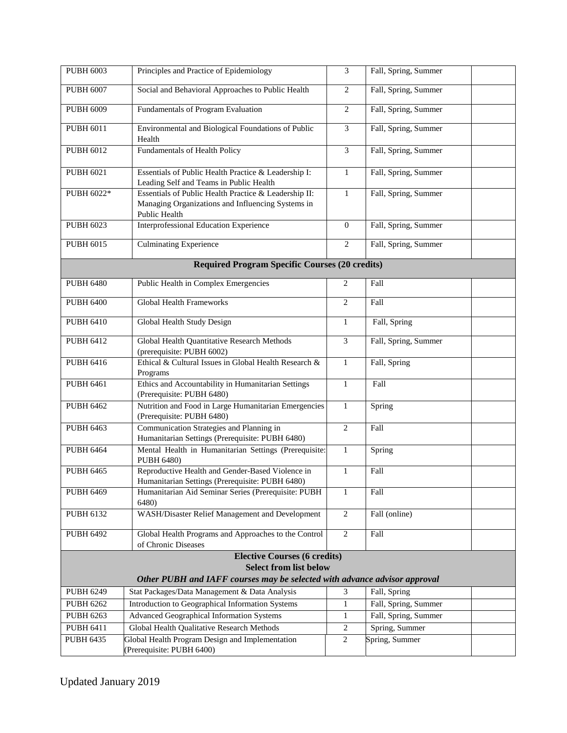| <b>PUBH 6003</b>                     | Principles and Practice of Epidemiology                                                                                     | $\mathfrak{Z}$      | Fall, Spring, Summer                   |  |
|--------------------------------------|-----------------------------------------------------------------------------------------------------------------------------|---------------------|----------------------------------------|--|
| <b>PUBH 6007</b>                     | Social and Behavioral Approaches to Public Health                                                                           | $\overline{2}$      | Fall, Spring, Summer                   |  |
| <b>PUBH 6009</b>                     | Fundamentals of Program Evaluation                                                                                          | $\sqrt{2}$          | Fall, Spring, Summer                   |  |
| <b>PUBH 6011</b>                     | Environmental and Biological Foundations of Public<br>Health                                                                | 3                   | Fall, Spring, Summer                   |  |
| <b>PUBH 6012</b>                     | Fundamentals of Health Policy                                                                                               | 3                   | Fall, Spring, Summer                   |  |
| <b>PUBH 6021</b>                     | Essentials of Public Health Practice & Leadership I:<br>Leading Self and Teams in Public Health                             | $\mathbf{1}$        | Fall, Spring, Summer                   |  |
| PUBH 6022*                           | Essentials of Public Health Practice & Leadership II:<br>Managing Organizations and Influencing Systems in<br>Public Health | 1                   | Fall, Spring, Summer                   |  |
| <b>PUBH 6023</b>                     | <b>Interprofessional Education Experience</b>                                                                               | $\mathbf{0}$        | Fall, Spring, Summer                   |  |
| <b>PUBH 6015</b>                     | <b>Culminating Experience</b>                                                                                               | $\overline{2}$      | Fall, Spring, Summer                   |  |
|                                      | <b>Required Program Specific Courses (20 credits)</b>                                                                       |                     |                                        |  |
| <b>PUBH 6480</b>                     | Public Health in Complex Emergencies                                                                                        | $\overline{c}$      | Fall                                   |  |
| <b>PUBH 6400</b>                     | <b>Global Health Frameworks</b>                                                                                             | $\overline{c}$      | Fall                                   |  |
| <b>PUBH 6410</b>                     | Global Health Study Design                                                                                                  | $\mathbf{1}$        | Fall, Spring                           |  |
| <b>PUBH 6412</b>                     | Global Health Quantitative Research Methods<br>(prerequisite: PUBH 6002)                                                    | $\overline{3}$      | Fall, Spring, Summer                   |  |
| <b>PUBH 6416</b>                     | Ethical & Cultural Issues in Global Health Research &<br>Programs                                                           | $\mathbf{1}$        | Fall, Spring                           |  |
| <b>PUBH 6461</b>                     | Ethics and Accountability in Humanitarian Settings<br>(Prerequisite: PUBH 6480)                                             | $\mathbf{1}$        | Fall                                   |  |
| <b>PUBH 6462</b>                     | Nutrition and Food in Large Humanitarian Emergencies<br>(Prerequisite: PUBH 6480)                                           | $\mathbf{1}$        | Spring                                 |  |
| <b>PUBH 6463</b>                     | Communication Strategies and Planning in<br>Humanitarian Settings (Prerequisite: PUBH 6480)                                 | $\overline{2}$      | Fall                                   |  |
| <b>PUBH 6464</b>                     | Mental Health in Humanitarian Settings (Prerequisite:<br><b>PUBH 6480)</b>                                                  | $\mathbf{1}$        | Spring                                 |  |
| <b>PUBH 6465</b>                     | Reproductive Health and Gender-Based Violence in<br>Humanitarian Settings (Prerequisite: PUBH 6480)                         | $\mathbf{1}$        | Fall                                   |  |
| <b>PUBH 6469</b>                     | Humanitarian Aid Seminar Series (Prerequisite: PUBH<br>6480)                                                                | 1                   | Fall                                   |  |
| <b>PUBH 6132</b>                     | WASH/Disaster Relief Management and Development                                                                             | $\overline{c}$      | Fall (online)                          |  |
| <b>PUBH 6492</b>                     | Global Health Programs and Approaches to the Control<br>of Chronic Diseases                                                 | 2                   | Fall                                   |  |
|                                      | <b>Elective Courses (6 credits)</b>                                                                                         |                     |                                        |  |
|                                      | <b>Select from list below</b>                                                                                               |                     |                                        |  |
|                                      | Other PUBH and IAFF courses may be selected with advance advisor approval                                                   |                     |                                        |  |
| <b>PUBH 6249</b>                     | Stat Packages/Data Management & Data Analysis                                                                               | 3                   | Fall, Spring                           |  |
| <b>PUBH 6262</b>                     | Introduction to Geographical Information Systems                                                                            | 1                   | Fall, Spring, Summer                   |  |
| <b>PUBH 6263</b><br><b>PUBH 6411</b> | <b>Advanced Geographical Information Systems</b><br>Global Health Qualitative Research Methods                              | 1<br>$\overline{2}$ | Fall, Spring, Summer<br>Spring, Summer |  |
| <b>PUBH 6435</b>                     | Global Health Program Design and Implementation                                                                             | $\overline{2}$      | Spring, Summer                         |  |
|                                      | (Prerequisite: PUBH 6400)                                                                                                   |                     |                                        |  |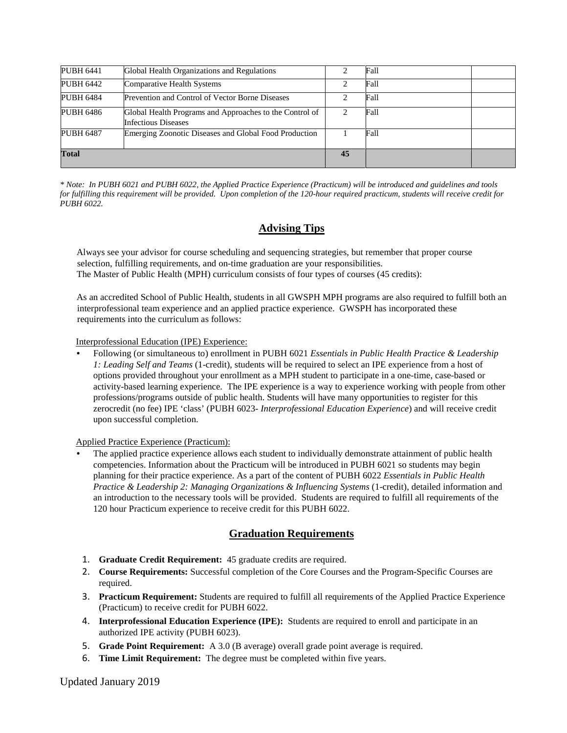| <b>PUBH 6441</b> | Global Health Organizations and Regulations                                    |    | Fall |  |
|------------------|--------------------------------------------------------------------------------|----|------|--|
| <b>PUBH 6442</b> | Comparative Health Systems                                                     |    | Fall |  |
| <b>PUBH 6484</b> | Prevention and Control of Vector Borne Diseases                                |    | Fall |  |
| <b>PUBH 6486</b> | Global Health Programs and Approaches to the Control of<br>Infectious Diseases |    | Fall |  |
| <b>PUBH 6487</b> | Emerging Zoonotic Diseases and Global Food Production                          |    | Fall |  |
| <b>Total</b>     |                                                                                | 45 |      |  |

*\* Note: In PUBH 6021 and PUBH 6022, the Applied Practice Experience (Practicum) will be introduced and guidelines and tools for fulfilling this requirement will be provided. Upon completion of the 120-hour required practicum, students will receive credit for PUBH 6022.* 

# **Advising Tips**

Always see your advisor for course scheduling and sequencing strategies, but remember that proper course selection, fulfilling requirements, and on-time graduation are your responsibilities. The Master of Public Health (MPH) curriculum consists of four types of courses (45 credits):

As an accredited School of Public Health, students in all GWSPH MPH programs are also required to fulfill both an interprofessional team experience and an applied practice experience. GWSPH has incorporated these requirements into the curriculum as follows:

Interprofessional Education (IPE) Experience:

• Following (or simultaneous to) enrollment in PUBH 6021 *Essentials in Public Health Practice & Leadership 1: Leading Self and Teams* (1-credit), students will be required to select an IPE experience from a host of options provided throughout your enrollment as a MPH student to participate in a one-time, case-based or activity-based learning experience. The IPE experience is a way to experience working with people from other professions/programs outside of public health. Students will have many opportunities to register for this zerocredit (no fee) IPE 'class' (PUBH 6023- *Interprofessional Education Experience*) and will receive credit upon successful completion.

Applied Practice Experience (Practicum):

The applied practice experience allows each student to individually demonstrate attainment of public health competencies. Information about the Practicum will be introduced in PUBH 6021 so students may begin planning for their practice experience. As a part of the content of PUBH 6022 *Essentials in Public Health Practice & Leadership 2: Managing Organizations & Influencing Systems* (1-credit), detailed information and an introduction to the necessary tools will be provided. Students are required to fulfill all requirements of the 120 hour Practicum experience to receive credit for this PUBH 6022.

# **Graduation Requirements**

- 1. **Graduate Credit Requirement:** 45 graduate credits are required.
- 2. **Course Requirements:** Successful completion of the Core Courses and the Program-Specific Courses are required.
- 3. **Practicum Requirement:** Students are required to fulfill all requirements of the Applied Practice Experience (Practicum) to receive credit for PUBH 6022.
- 4. **Interprofessional Education Experience (IPE):** Students are required to enroll and participate in an authorized IPE activity (PUBH 6023).
- 5. **Grade Point Requirement:** A 3.0 (B average) overall grade point average is required.
- 6. **Time Limit Requirement:** The degree must be completed within five years.

Updated January 2019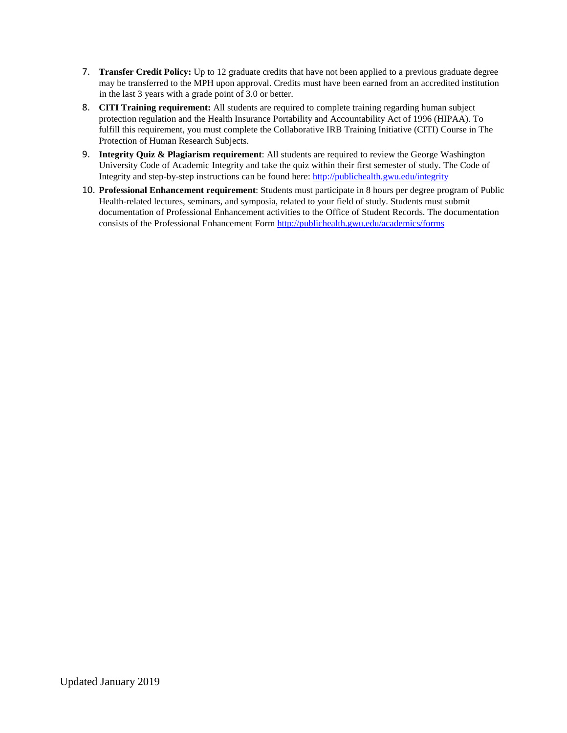- 7. **Transfer Credit Policy:** Up to 12 graduate credits that have not been applied to a previous graduate degree may be transferred to the MPH upon approval. Credits must have been earned from an accredited institution in the last 3 years with a grade point of 3.0 or better.
- 8. **CITI Training requirement:** All students are required to complete training regarding human subject protection regulation and the Health Insurance Portability and Accountability Act of 1996 (HIPAA). To fulfill this requirement, you must complete the Collaborative IRB Training Initiative (CITI) Course in The Protection of Human Research Subjects.
- 9. **Integrity Quiz & Plagiarism requirement**: All students are required to review the George Washington University Code of Academic Integrity and take the quiz within their first semester of study. The Code of Integrity and step-by-step instructions can be found here:<http://publichealth.gwu.edu/integrity>
- 10. **Professional Enhancement requirement**: Students must participate in 8 hours per degree program of Public Health-related lectures, seminars, and symposia, related to your field of study. Students must submit documentation of Professional Enhancement activities to the Office of Student Records. The documentation consists of the Professional Enhancement For[m http://publichealth.gwu.edu/academics/forms](http://publichealth.gwu.edu/academics/forms)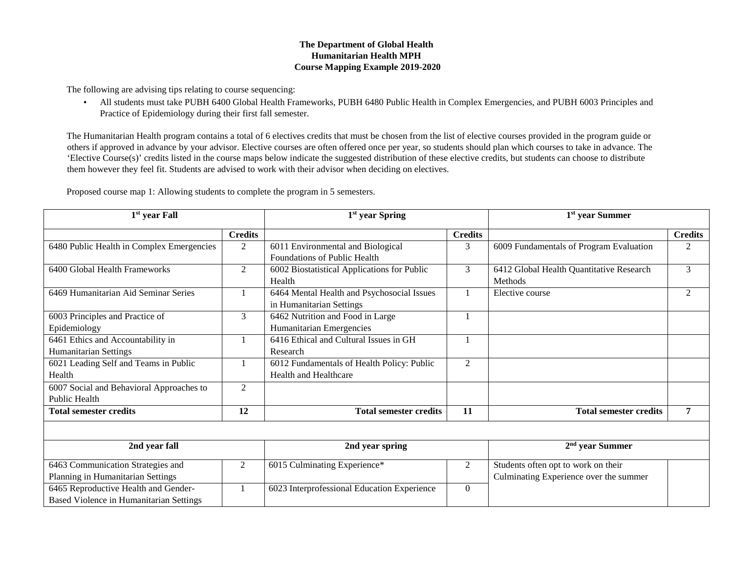## **The Department of Global Health Humanitarian Health MPH Course Mapping Example 2019-2020**

The following are advising tips relating to course sequencing:

• All students must take PUBH 6400 Global Health Frameworks, PUBH 6480 Public Health in Complex Emergencies, and PUBH 6003 Principles and Practice of Epidemiology during their first fall semester.

The Humanitarian Health program contains a total of 6 electives credits that must be chosen from the list of elective courses provided in the program guide or others if approved in advance by your advisor. Elective courses are often offered once per year, so students should plan which courses to take in advance. The 'Elective Course(s)' credits listed in the course maps below indicate the suggested distribution of these elective credits, but students can choose to distribute them however they feel fit. Students are advised to work with their advisor when deciding on electives.

Proposed course map 1: Allowing students to complete the program in 5 semesters.

| 1 <sup>st</sup> year Fall                                                              |                | 1 <sup>st</sup> year Spring                                            |                | 1 <sup>st</sup> year Summer                                                   |                |
|----------------------------------------------------------------------------------------|----------------|------------------------------------------------------------------------|----------------|-------------------------------------------------------------------------------|----------------|
|                                                                                        | <b>Credits</b> |                                                                        | <b>Credits</b> |                                                                               | <b>Credits</b> |
| 6480 Public Health in Complex Emergencies                                              | 2              | 6011 Environmental and Biological<br>Foundations of Public Health      | 3              | 6009 Fundamentals of Program Evaluation                                       | 2              |
| 6400 Global Health Frameworks                                                          | $\overline{2}$ | 6002 Biostatistical Applications for Public<br>Health                  | 3              | 6412 Global Health Quantitative Research<br><b>Methods</b>                    | 3              |
| 6469 Humanitarian Aid Seminar Series                                                   |                | 6464 Mental Health and Psychosocial Issues<br>in Humanitarian Settings |                | Elective course                                                               | $\overline{2}$ |
| 6003 Principles and Practice of<br>Epidemiology                                        | $\mathfrak{Z}$ | 6462 Nutrition and Food in Large<br>Humanitarian Emergencies           |                |                                                                               |                |
| 6461 Ethics and Accountability in<br><b>Humanitarian Settings</b>                      |                | 6416 Ethical and Cultural Issues in GH<br>Research                     |                |                                                                               |                |
| 6021 Leading Self and Teams in Public<br>Health                                        |                | 6012 Fundamentals of Health Policy: Public<br>Health and Healthcare    | $\overline{2}$ |                                                                               |                |
| 6007 Social and Behavioral Approaches to<br>Public Health                              | 2              |                                                                        |                |                                                                               |                |
| <b>Total semester credits</b>                                                          | 12             | <b>Total semester credits</b>                                          | 11             | <b>Total semester credits</b>                                                 | 7              |
|                                                                                        |                |                                                                        |                |                                                                               |                |
| 2nd year fall                                                                          |                | 2nd year spring                                                        |                | $2nd$ year Summer                                                             |                |
| 6463 Communication Strategies and<br>Planning in Humanitarian Settings                 | $\overline{2}$ | 6015 Culminating Experience*                                           | 2              | Students often opt to work on their<br>Culminating Experience over the summer |                |
| 6465 Reproductive Health and Gender-<br><b>Based Violence in Humanitarian Settings</b> |                | 6023 Interprofessional Education Experience                            | $\theta$       |                                                                               |                |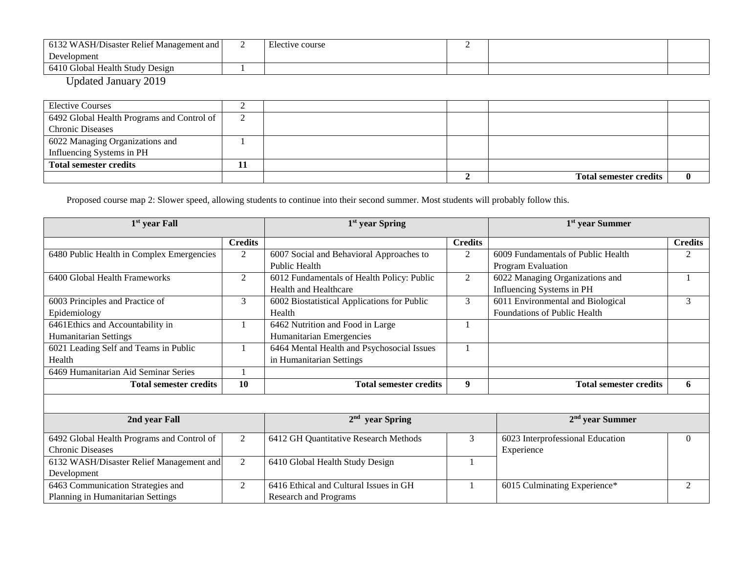| 6132 WASH/Disaster Relief Management and | Elective course |  |  |
|------------------------------------------|-----------------|--|--|
| Development                              |                 |  |  |
| 6410 Global Health Study Design          |                 |  |  |
| ----<br>__ _ _ _                         |                 |  |  |

Updated January 2019

| <b>Elective Courses</b>                    |    |  |                               |  |
|--------------------------------------------|----|--|-------------------------------|--|
| 6492 Global Health Programs and Control of | ∠  |  |                               |  |
| <b>Chronic Diseases</b>                    |    |  |                               |  |
| 6022 Managing Organizations and            |    |  |                               |  |
| Influencing Systems in PH                  |    |  |                               |  |
| <b>Total semester credits</b>              | TТ |  |                               |  |
|                                            |    |  | <b>Total semester credits</b> |  |

Proposed course map 2: Slower speed, allowing students to continue into their second summer. Most students will probably follow this.

| $1st$ year Fall                            |                | 1 <sup>st</sup> year Spring                 |                | 1 <sup>st</sup> year Summer        |                |
|--------------------------------------------|----------------|---------------------------------------------|----------------|------------------------------------|----------------|
|                                            | <b>Credits</b> |                                             | <b>Credits</b> |                                    | <b>Credits</b> |
| 6480 Public Health in Complex Emergencies  | $\overline{2}$ | 6007 Social and Behavioral Approaches to    | 2              | 6009 Fundamentals of Public Health | 2              |
|                                            |                | <b>Public Health</b>                        |                | <b>Program Evaluation</b>          |                |
| 6400 Global Health Frameworks              | $\mathfrak{2}$ | 6012 Fundamentals of Health Policy: Public  | $\overline{2}$ | 6022 Managing Organizations and    |                |
|                                            |                | <b>Health and Healthcare</b>                |                | Influencing Systems in PH          |                |
| 6003 Principles and Practice of            | 3              | 6002 Biostatistical Applications for Public | 3              | 6011 Environmental and Biological  | 3              |
| Epidemiology                               |                | Health                                      |                | Foundations of Public Health       |                |
| 6461Ethics and Accountability in           |                | 6462 Nutrition and Food in Large            |                |                                    |                |
| <b>Humanitarian Settings</b>               |                | Humanitarian Emergencies                    |                |                                    |                |
| 6021 Leading Self and Teams in Public      |                | 6464 Mental Health and Psychosocial Issues  |                |                                    |                |
| Health                                     |                | in Humanitarian Settings                    |                |                                    |                |
| 6469 Humanitarian Aid Seminar Series       |                |                                             |                |                                    |                |
| <b>Total semester credits</b>              | 10             | <b>Total semester credits</b>               | 9              | <b>Total semester credits</b>      | 6              |
|                                            |                |                                             |                |                                    |                |
| 2nd year Fall                              |                | $2nd$ year Spring                           |                | $2nd$ year Summer                  |                |
| 6492 Global Health Programs and Control of | $\overline{2}$ | 6412 GH Quantitative Research Methods       | 3              | 6023 Interprofessional Education   | $\Omega$       |
| <b>Chronic Diseases</b>                    |                |                                             |                | Experience                         |                |
| 6132 WASH/Disaster Relief Management and   | $\overline{2}$ | 6410 Global Health Study Design             |                |                                    |                |
| Development                                |                |                                             |                |                                    |                |
| 6463 Communication Strategies and          | 2              | 6416 Ethical and Cultural Issues in GH      |                | 6015 Culminating Experience*       | $\mathcal{D}$  |
| Planning in Humanitarian Settings          |                | <b>Research and Programs</b>                |                |                                    |                |